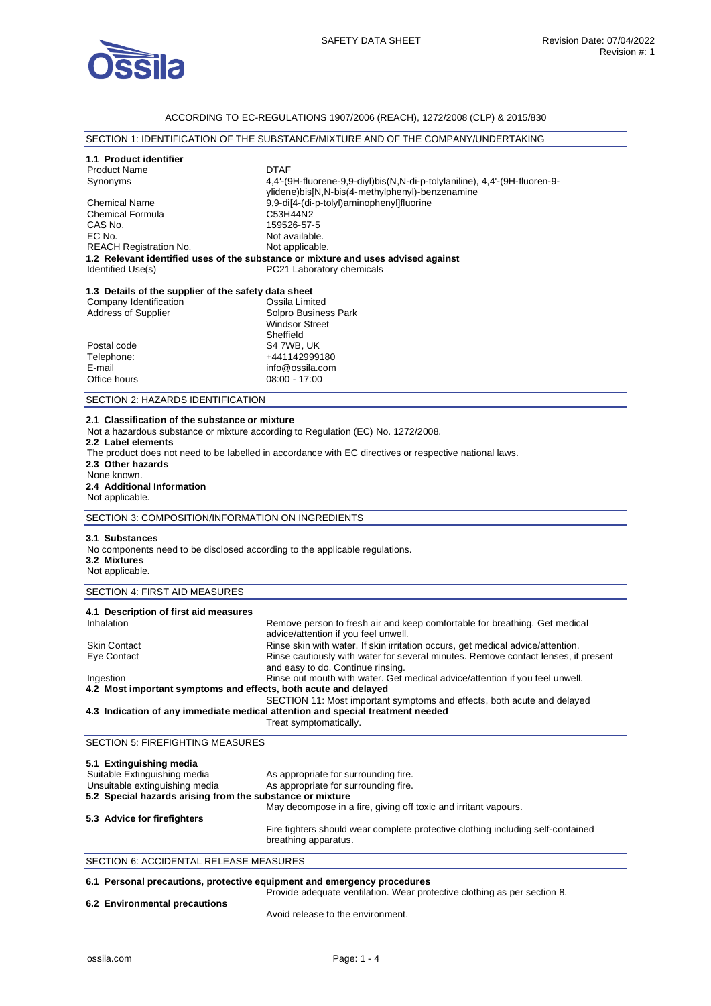

## ACCORDING TO EC-REGULATIONS 1907/2006 (REACH), 1272/2008 (CLP) & 2015/830

# SECTION 1: IDENTIFICATION OF THE SUBSTANCE/MIXTURE AND OF THE COMPANY/UNDERTAKING

# **1.1 Product identifier**

| <b>Product Name</b>           | <b>DTAF</b>                                                                       |
|-------------------------------|-----------------------------------------------------------------------------------|
| Synonyms                      | 4,4'-(9H-fluorene-9,9-diyl)bis(N,N-di-p-tolylaniline), 4,4'-(9H-fluoren-9-        |
|                               | ylidene)bis[N,N-bis(4-methylphenyl)-benzenamine                                   |
| <b>Chemical Name</b>          | 9.9-di[4-(di-p-tolyl)aminophenyl]fluorine                                         |
| <b>Chemical Formula</b>       | C53H44N2                                                                          |
| CAS No.                       | 159526-57-5                                                                       |
| EC No.                        | Not available.                                                                    |
| <b>REACH Registration No.</b> | Not applicable.                                                                   |
|                               | 1.2 Relevant identified uses of the substance or mixture and uses advised against |
| Identified Use(s)             | PC21 Laboratory chemicals                                                         |
|                               |                                                                                   |

| 1.3 Details of the supplier of the safety data sheet |                       |
|------------------------------------------------------|-----------------------|
| Company Identification                               | Ossila Limited        |
| Address of Supplier                                  | Solpro Business Park  |
|                                                      | <b>Windsor Street</b> |
|                                                      | Sheffield             |
| Postal code                                          | S4 7WB, UK            |
| Telephone:                                           | +441142999180         |
| E-mail                                               | info@ossila.com       |
| Office hours                                         | $08:00 - 17:00$       |

SECTION 2: HAZARDS IDENTIFICATION

# **2.1 Classification of the substance or mixture**

Not a hazardous substance or mixture according to Regulation (EC) No. 1272/2008.

#### **2.2 Label elements**

The product does not need to be labelled in accordance with EC directives or respective national laws. **2.3 Other hazards**  None known. **2.4 Additional Information** 

# Not applicable.

SECTION 3: COMPOSITION/INFORMATION ON INGREDIENTS

#### **3.1 Substances**

No components need to be disclosed according to the applicable regulations. **3.2 Mixtures**  Not applicable.

# SECTION 4: FIRST AID MEASURES

| 4.1 Description of first aid measures                           |                                                                                                                         |  |
|-----------------------------------------------------------------|-------------------------------------------------------------------------------------------------------------------------|--|
| Inhalation                                                      | Remove person to fresh air and keep comfortable for breathing. Get medical<br>advice/attention if you feel unwell.      |  |
| <b>Skin Contact</b>                                             | Rinse skin with water. If skin irritation occurs, get medical advice/attention.                                         |  |
| Eye Contact                                                     | Rinse cautiously with water for several minutes. Remove contact lenses, if present<br>and easy to do. Continue rinsing. |  |
| Ingestion                                                       | Rinse out mouth with water. Get medical advice/attention if you feel unwell.                                            |  |
| 4.2 Most important symptoms and effects, both acute and delayed |                                                                                                                         |  |
|                                                                 | SECTION 11: Most important symptoms and effects, both acute and delayed                                                 |  |
|                                                                 | 4.3 Indication of any immediate medical attention and special treatment needed                                          |  |

#### Treat symptomatically.

# SECTION 5: FIREFIGHTING MEASURES

| 5.1 Extinguishing media                                   |                                                                                                         |  |  |
|-----------------------------------------------------------|---------------------------------------------------------------------------------------------------------|--|--|
| Suitable Extinguishing media                              | As appropriate for surrounding fire.                                                                    |  |  |
| Unsuitable extinguishing media                            | As appropriate for surrounding fire.                                                                    |  |  |
| 5.2 Special hazards arising from the substance or mixture |                                                                                                         |  |  |
|                                                           | May decompose in a fire, giving off toxic and irritant vapours.                                         |  |  |
| 5.3 Advice for firefighters                               |                                                                                                         |  |  |
|                                                           | Fire fighters should wear complete protective clothing including self-contained<br>breathing apparatus. |  |  |

## SECTION 6: ACCIDENTAL RELEASE MEASURES

# **6.1 Personal precautions, protective equipment and emergency procedures**

Provide adequate ventilation. Wear protective clothing as per section 8.

## **6.2 Environmental precautions**

Avoid release to the environment.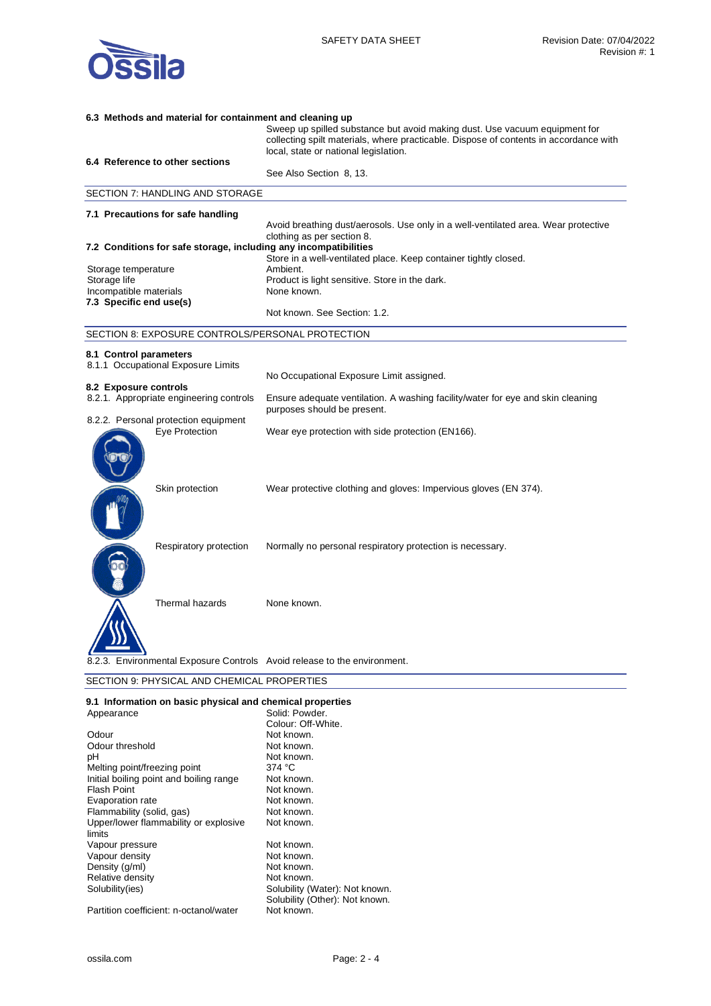

| Sweep up spilled substance but avoid making dust. Use vacuum equipment for<br>collecting spilt materials, where practicable. Dispose of contents in accordance with<br>local, state or national legislation.<br>6.4 Reference to other sections<br>See Also Section 8, 13.<br>SECTION 7: HANDLING AND STORAGE<br>7.1 Precautions for safe handling<br>Avoid breathing dust/aerosols. Use only in a well-ventilated area. Wear protective |  |  |
|------------------------------------------------------------------------------------------------------------------------------------------------------------------------------------------------------------------------------------------------------------------------------------------------------------------------------------------------------------------------------------------------------------------------------------------|--|--|
|                                                                                                                                                                                                                                                                                                                                                                                                                                          |  |  |
|                                                                                                                                                                                                                                                                                                                                                                                                                                          |  |  |
|                                                                                                                                                                                                                                                                                                                                                                                                                                          |  |  |
|                                                                                                                                                                                                                                                                                                                                                                                                                                          |  |  |
|                                                                                                                                                                                                                                                                                                                                                                                                                                          |  |  |
|                                                                                                                                                                                                                                                                                                                                                                                                                                          |  |  |
|                                                                                                                                                                                                                                                                                                                                                                                                                                          |  |  |
| clothing as per section 8.<br>7.2 Conditions for safe storage, including any incompatibilities                                                                                                                                                                                                                                                                                                                                           |  |  |
| Store in a well-ventilated place. Keep container tightly closed.                                                                                                                                                                                                                                                                                                                                                                         |  |  |
| Ambient.<br>Storage temperature                                                                                                                                                                                                                                                                                                                                                                                                          |  |  |
| Storage life<br>Product is light sensitive. Store in the dark.                                                                                                                                                                                                                                                                                                                                                                           |  |  |
| Incompatible materials<br>None known.<br>7.3 Specific end use(s)                                                                                                                                                                                                                                                                                                                                                                         |  |  |
| Not known. See Section: 1.2.                                                                                                                                                                                                                                                                                                                                                                                                             |  |  |
| SECTION 8: EXPOSURE CONTROLS/PERSONAL PROTECTION                                                                                                                                                                                                                                                                                                                                                                                         |  |  |
| 8.1 Control parameters                                                                                                                                                                                                                                                                                                                                                                                                                   |  |  |
| 8.1.1 Occupational Exposure Limits                                                                                                                                                                                                                                                                                                                                                                                                       |  |  |
| No Occupational Exposure Limit assigned.                                                                                                                                                                                                                                                                                                                                                                                                 |  |  |
| 8.2 Exposure controls<br>8.2.1. Appropriate engineering controls<br>Ensure adequate ventilation. A washing facility/water for eye and skin cleaning                                                                                                                                                                                                                                                                                      |  |  |
| purposes should be present.                                                                                                                                                                                                                                                                                                                                                                                                              |  |  |
| 8.2.2. Personal protection equipment                                                                                                                                                                                                                                                                                                                                                                                                     |  |  |
| Eye Protection<br>Wear eye protection with side protection (EN166).                                                                                                                                                                                                                                                                                                                                                                      |  |  |
|                                                                                                                                                                                                                                                                                                                                                                                                                                          |  |  |
|                                                                                                                                                                                                                                                                                                                                                                                                                                          |  |  |
|                                                                                                                                                                                                                                                                                                                                                                                                                                          |  |  |
| Skin protection<br>Wear protective clothing and gloves: Impervious gloves (EN 374).                                                                                                                                                                                                                                                                                                                                                      |  |  |
|                                                                                                                                                                                                                                                                                                                                                                                                                                          |  |  |
|                                                                                                                                                                                                                                                                                                                                                                                                                                          |  |  |
|                                                                                                                                                                                                                                                                                                                                                                                                                                          |  |  |
| Respiratory protection<br>Normally no personal respiratory protection is necessary.                                                                                                                                                                                                                                                                                                                                                      |  |  |
|                                                                                                                                                                                                                                                                                                                                                                                                                                          |  |  |
|                                                                                                                                                                                                                                                                                                                                                                                                                                          |  |  |
|                                                                                                                                                                                                                                                                                                                                                                                                                                          |  |  |
| Thermal hazards<br>None known.                                                                                                                                                                                                                                                                                                                                                                                                           |  |  |
|                                                                                                                                                                                                                                                                                                                                                                                                                                          |  |  |
|                                                                                                                                                                                                                                                                                                                                                                                                                                          |  |  |
|                                                                                                                                                                                                                                                                                                                                                                                                                                          |  |  |
| Environmental Exposure Controls Avoid release to the environment.                                                                                                                                                                                                                                                                                                                                                                        |  |  |
| SECTION 9: PHYSICAL AND CHEMICAL PROPERTIES                                                                                                                                                                                                                                                                                                                                                                                              |  |  |

| 9.1 Information on basic physical and chemical properties |  |  |  |
|-----------------------------------------------------------|--|--|--|
|                                                           |  |  |  |

| Appearance                              | Solid: Powder.                                                   |
|-----------------------------------------|------------------------------------------------------------------|
|                                         | Colour: Off-White.                                               |
| Odour                                   | Not known.                                                       |
| Odour threshold                         | Not known.                                                       |
| pН                                      | Not known.                                                       |
| Melting point/freezing point            | 374 °C                                                           |
| Initial boiling point and boiling range | Not known.                                                       |
| <b>Flash Point</b>                      | Not known.                                                       |
| Evaporation rate                        | Not known.                                                       |
| Flammability (solid, gas)               | Not known.                                                       |
| Upper/lower flammability or explosive   | Not known.                                                       |
| limits                                  |                                                                  |
| Vapour pressure                         | Not known.                                                       |
| Vapour density                          | Not known.                                                       |
| Density (g/ml)                          | Not known.                                                       |
| Relative density                        | Not known.                                                       |
| Solubility(ies)                         | Solubility (Water): Not known.<br>Solubility (Other): Not known. |
| Partition coefficient: n-octanol/water  | Not known.                                                       |
|                                         |                                                                  |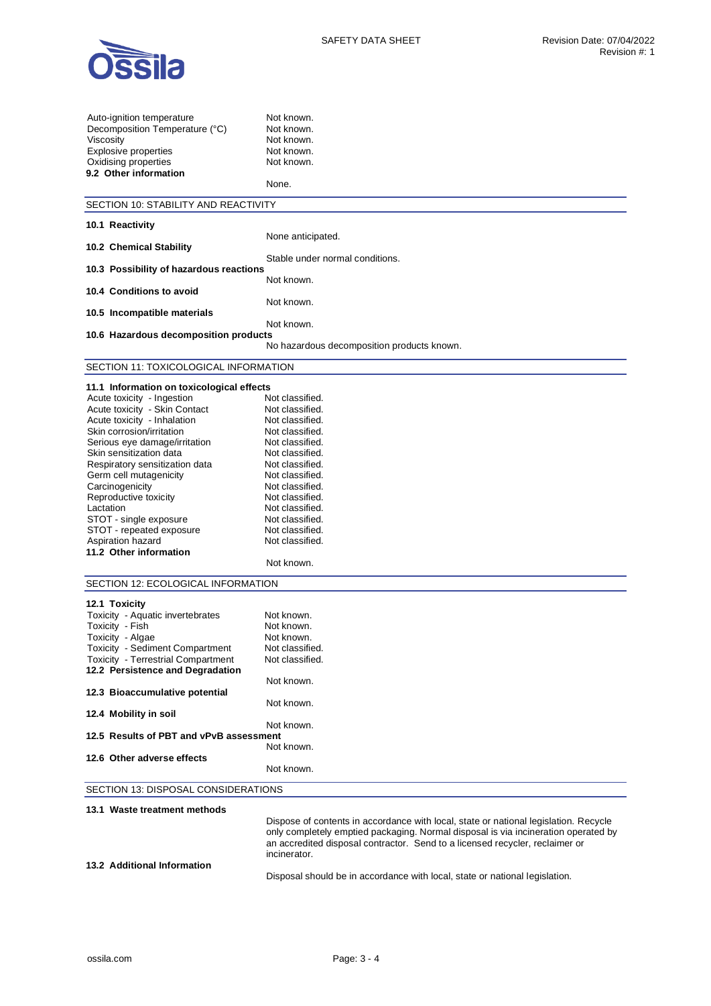

| Auto-ignition temperature                                   | Not known.                                                                           |
|-------------------------------------------------------------|--------------------------------------------------------------------------------------|
| Decomposition Temperature (°C)                              | Not known.                                                                           |
| Viscosity                                                   | Not known.                                                                           |
| <b>Explosive properties</b>                                 | Not known.                                                                           |
| Oxidising properties                                        | Not known.                                                                           |
| 9.2 Other information                                       |                                                                                      |
|                                                             | None.                                                                                |
| SECTION 10: STABILITY AND REACTIVITY                        |                                                                                      |
|                                                             |                                                                                      |
| 10.1 Reactivity                                             |                                                                                      |
|                                                             | None anticipated.                                                                    |
| 10.2 Chemical Stability                                     |                                                                                      |
| 10.3 Possibility of hazardous reactions                     | Stable under normal conditions.                                                      |
|                                                             | Not known.                                                                           |
| 10.4 Conditions to avoid                                    |                                                                                      |
|                                                             | Not known.                                                                           |
| 10.5 Incompatible materials                                 |                                                                                      |
|                                                             | Not known.                                                                           |
| 10.6 Hazardous decomposition products                       |                                                                                      |
|                                                             | No hazardous decomposition products known.                                           |
| SECTION 11: TOXICOLOGICAL INFORMATION                       |                                                                                      |
|                                                             |                                                                                      |
| 11.1 Information on toxicological effects                   |                                                                                      |
| Acute toxicity - Ingestion<br>Acute toxicity - Skin Contact | Not classified.<br>Not classified.                                                   |
| Acute toxicity - Inhalation                                 | Not classified.                                                                      |
| Skin corrosion/irritation                                   | Not classified.                                                                      |
| Serious eye damage/irritation                               | Not classified.                                                                      |
| Skin sensitization data                                     | Not classified.                                                                      |
| Respiratory sensitization data                              | Not classified.                                                                      |
| Germ cell mutagenicity                                      | Not classified.                                                                      |
| Carcinogenicity                                             | Not classified.                                                                      |
| Reproductive toxicity                                       | Not classified.                                                                      |
| Lactation                                                   | Not classified.                                                                      |
| STOT - single exposure                                      | Not classified.                                                                      |
| STOT - repeated exposure                                    | Not classified.                                                                      |
| Aspiration hazard                                           | Not classified.                                                                      |
| 11.2 Other information                                      |                                                                                      |
|                                                             | Not known.                                                                           |
| SECTION 12: ECOLOGICAL INFORMATION                          |                                                                                      |
| 12.1 Toxicity                                               |                                                                                      |
| Toxicity - Aquatic invertebrates                            | Not known.                                                                           |
| Toxicity - Fish                                             | Not known.                                                                           |
| Toxicity - Algae                                            | Not known.                                                                           |
| Toxicity - Sediment Compartment                             | Not classified.                                                                      |
| <b>Toxicity - Terrestrial Compartment</b>                   | Not classified.                                                                      |
| 12.2 Persistence and Degradation                            |                                                                                      |
|                                                             | Not known.                                                                           |
| 12.3 Bioaccumulative potential                              |                                                                                      |
|                                                             | Not known.                                                                           |
| 12.4 Mobility in soil                                       |                                                                                      |
|                                                             | Not known.                                                                           |
| 12.5 Results of PBT and vPvB assessment                     |                                                                                      |
| 12.6 Other adverse effects                                  | Not known.                                                                           |
|                                                             | Not known.                                                                           |
|                                                             |                                                                                      |
| SECTION 13: DISPOSAL CONSIDERATIONS                         |                                                                                      |
| 13.1 Waste treatment methods                                |                                                                                      |
|                                                             | Dispose of contents in accordance with local, state or national legislation. Recycle |
|                                                             | only completely emptied packaging. Normal disposal is via incineration operated by   |
|                                                             | an accredited disposal contractor. Send to a licensed recycler, reclaimer or         |

**13.2 Additional Information** 

Disposal should be in accordance with local, state or national legislation.

incinerator.